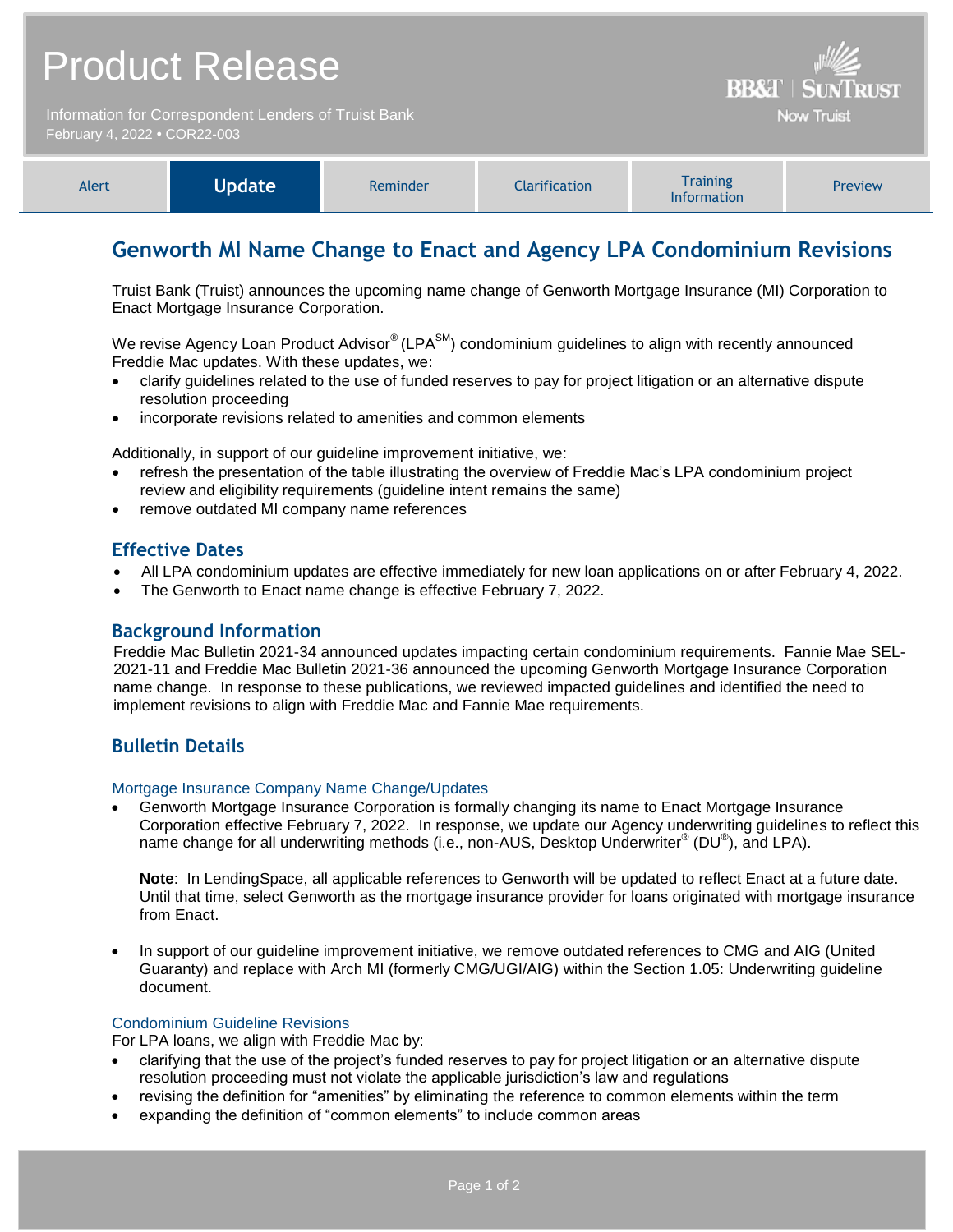| <b>Product Release</b>       |                                                      |          |                      | <b>BB&amp;T   SUNTRUST</b>                                                                    |                   |
|------------------------------|------------------------------------------------------|----------|----------------------|-----------------------------------------------------------------------------------------------|-------------------|
| February 4, 2022 . COR22-003 | Information for Correspondent Lenders of Truist Bank |          |                      |                                                                                               | <b>Now Truist</b> |
|                              |                                                      |          |                      |                                                                                               |                   |
| Alert                        | <b>Update</b>                                        | Reminder | <b>Clarification</b> | <b>Training</b><br>$\mathbf{1}$ and $\mathbf{1}$ are also as a set of the set of $\mathbf{1}$ | Preview           |

## **Genworth MI Name Change to Enact and Agency LPA Condominium Revisions**

Information

Truist Bank (Truist) announces the upcoming name change of Genworth Mortgage Insurance (MI) Corporation to Enact Mortgage Insurance Corporation.

We revise Agency Loan Product Advisor® (LPA<sup>SM</sup>) condominium guidelines to align with recently announced Freddie Mac updates. With these updates, we:

- clarify guidelines related to the use of funded reserves to pay for project litigation or an alternative dispute resolution proceeding
- incorporate revisions related to amenities and common elements

Additionally, in support of our guideline improvement initiative, we:

- refresh the presentation of the table illustrating the overview of Freddie Mac's LPA condominium project review and eligibility requirements (guideline intent remains the same)
- remove outdated MI company name references

## **Effective Dates**

- All LPA condominium updates are effective immediately for new loan applications on or after February 4, 2022.
- The Genworth to Enact name change is effective February 7, 2022.

## **Background Information**

Freddie Mac Bulletin 2021-34 announced updates impacting certain condominium requirements. Fannie Mae SEL-2021-11 and Freddie Mac Bulletin 2021-36 announced the upcoming Genworth Mortgage Insurance Corporation name change. In response to these publications, we reviewed impacted guidelines and identified the need to implement revisions to align with Freddie Mac and Fannie Mae requirements.

## **Bulletin Details**

### Mortgage Insurance Company Name Change/Updates

 Genworth Mortgage Insurance Corporation is formally changing its name to Enact Mortgage Insurance Corporation effective February 7, 2022. In response, we update our Agency underwriting guidelines to reflect this name change for all underwriting methods (i.e., non-AUS, Desktop Underwriter® (DU®), and LPA).

**Note**: In LendingSpace, all applicable references to Genworth will be updated to reflect Enact at a future date. Until that time, select Genworth as the mortgage insurance provider for loans originated with mortgage insurance from Enact.

 In support of our guideline improvement initiative, we remove outdated references to CMG and AIG (United Guaranty) and replace with Arch MI (formerly CMG/UGI/AIG) within the Section 1.05: Underwriting guideline document.

#### Condominium Guideline Revisions

For LPA loans, we align with Freddie Mac by:

- clarifying that the use of the project's funded reserves to pay for project litigation or an alternative dispute resolution proceeding must not violate the applicable jurisdiction's law and regulations
- revising the definition for "amenities" by eliminating the reference to common elements within the term
- expanding the definition of "common elements" to include common areas